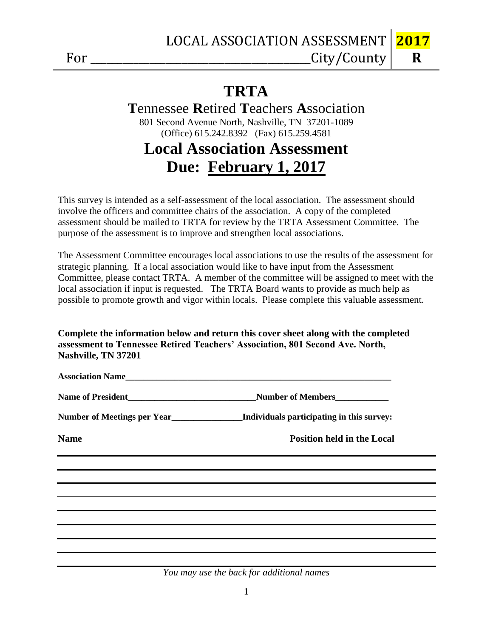**R**

## **TRTA**

### **T**ennessee **R**etired **T**eachers **A**ssociation 801 Second Avenue North, Nashville, TN 37201-1089 (Office) 615.242.8392 (Fax) 615.259.4581

# **Local Association Assessment Due: February 1, 2017**

This survey is intended as a self-assessment of the local association. The assessment should involve the officers and committee chairs of the association. A copy of the completed assessment should be mailed to TRTA for review by the TRTA Assessment Committee. The purpose of the assessment is to improve and strengthen local associations.

The Assessment Committee encourages local associations to use the results of the assessment for strategic planning. If a local association would like to have input from the Assessment Committee, please contact TRTA. A member of the committee will be assigned to meet with the local association if input is requested. The TRTA Board wants to provide as much help as possible to promote growth and vigor within locals. Please complete this valuable assessment.

#### **Complete the information below and return this cover sheet along with the completed assessment to Tennessee Retired Teachers' Association, 801 Second Ave. North, Nashville, TN 37201**

|             | Number of Meetings per Year<br><u>__________________</u> Individuals participating in this survey:                    |
|-------------|-----------------------------------------------------------------------------------------------------------------------|
| <b>Name</b> | <b>Position held in the Local</b>                                                                                     |
|             |                                                                                                                       |
|             | ,我们也不会有什么。""我们的人,我们也不会有什么?""我们的人,我们也不会有什么?""我们的人,我们也不会有什么?""我们的人,我们也不会有什么?""我们的人                                      |
|             | <u> 1989 - Andrea Santa Andrea Andrea Andrea Andrea Andrea Andrea Andrea Andrea Andrea Andrea Andrea Andrea Andr</u>  |
|             | <u> 1988 - Ann an Carl Maria ann an t-Èireann an t-Èireann an t-Èireann an t-Èireann an t-Èireann an t-Èireann an</u> |
|             | ,我们也不会有什么。""我们的人,我们也不会有什么?""我们的人,我们也不会有什么?""我们的人,我们也不会有什么?""我们的人,我们也不会有什么?""我们的人                                      |
|             |                                                                                                                       |
|             |                                                                                                                       |

*You may use the back for additional names*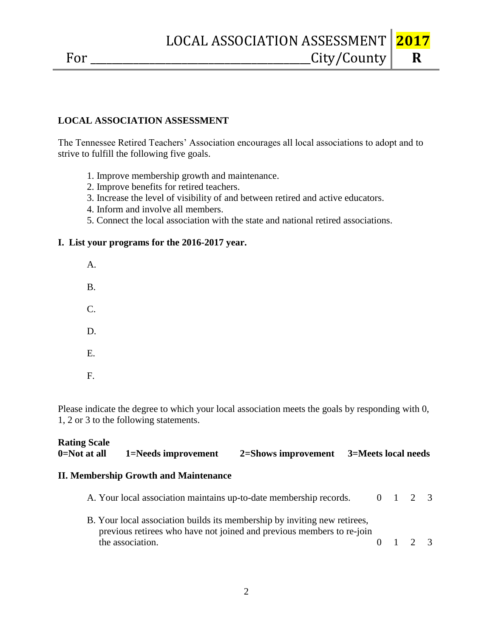The Tennessee Retired Teachers' Association encourages all local associations to adopt and to strive to fulfill the following five goals.

- 1. Improve membership growth and maintenance.
- 2. Improve benefits for retired teachers.
- 3. Increase the level of visibility of and between retired and active educators.
- 4. Inform and involve all members.
- 5. Connect the local association with the state and national retired associations.

#### **I. List your programs for the 2016-2017 year.**

- A. B. C. D. E.
- F.

Please indicate the degree to which your local association meets the goals by responding with 0, 1, 2 or 3 to the following statements.

| <b>Rating Scale</b> |                     |                     |                     |
|---------------------|---------------------|---------------------|---------------------|
| 0=Not at all        | 1=Needs improvement | 2=Shows improvement | 3=Meets local needs |

#### **II. Membership Growth and Maintenance**

| A. Your local association maintains up-to-date membership records.                                                                                 |  | 0 1 2 3         |  |
|----------------------------------------------------------------------------------------------------------------------------------------------------|--|-----------------|--|
| B. Your local association builds its membership by inviting new retirees,<br>previous retirees who have not joined and previous members to re-join |  |                 |  |
| the association.                                                                                                                                   |  | $0 \t1 \t2 \t3$ |  |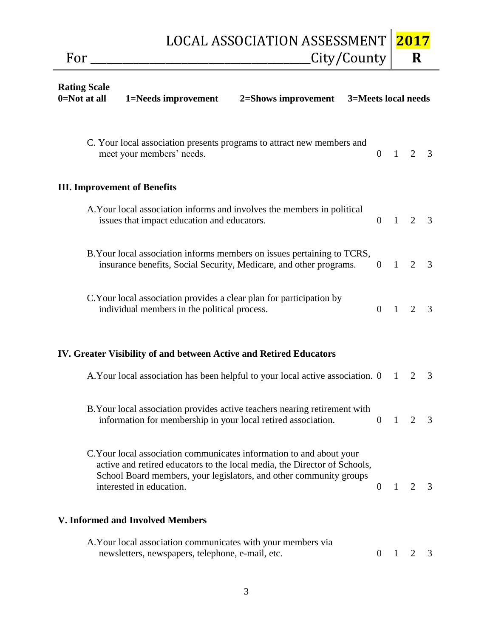For \_\_\_\_\_\_\_\_\_\_\_\_\_\_\_\_\_\_\_\_\_\_\_\_\_\_\_\_\_\_\_\_\_\_\_\_\_\_\_\_\_City/County  **R**

| <b>Rating Scale</b><br>0=Not at all<br>1=Needs improvement<br>2=Shows improvement<br>3=Meets local needs                                                                                                                                            |                  |              |                |                |
|-----------------------------------------------------------------------------------------------------------------------------------------------------------------------------------------------------------------------------------------------------|------------------|--------------|----------------|----------------|
| C. Your local association presents programs to attract new members and<br>meet your members' needs.                                                                                                                                                 | $\overline{0}$   | $\mathbf{1}$ | 2              | 3              |
| <b>III. Improvement of Benefits</b>                                                                                                                                                                                                                 |                  |              |                |                |
| A. Your local association informs and involves the members in political<br>issues that impact education and educators.                                                                                                                              | $\Omega$         | $\mathbf{1}$ | 2              | $\overline{3}$ |
| B. Your local association informs members on issues pertaining to TCRS,<br>insurance benefits, Social Security, Medicare, and other programs.                                                                                                       | $\overline{0}$   | $\mathbf{1}$ | 2              | $\overline{3}$ |
| C. Your local association provides a clear plan for participation by<br>individual members in the political process.                                                                                                                                | $\Omega$         | $\mathbf{1}$ | 2              | 3              |
| IV. Greater Visibility of and between Active and Retired Educators                                                                                                                                                                                  |                  |              |                |                |
| A. Your local association has been helpful to your local active association. 0                                                                                                                                                                      |                  | 1            | 2              | $\overline{3}$ |
| B. Your local association provides active teachers nearing retirement with<br>information for membership in your local retired association.                                                                                                         | $\boldsymbol{0}$ | 1            | $\overline{2}$ | 3              |
| C. Your local association communicates information to and about your<br>active and retired educators to the local media, the Director of Schools,<br>School Board members, your legislators, and other community groups<br>interested in education. | $\overline{0}$   | $\mathbf{1}$ | 2              | 3              |
| V. Informed and Involved Members                                                                                                                                                                                                                    |                  |              |                |                |
| A. Your local association communicates with your members via<br>newsletters, newspapers, telephone, e-mail, etc.                                                                                                                                    | $\theta$         | $\mathbf{1}$ | $\overline{2}$ | 3              |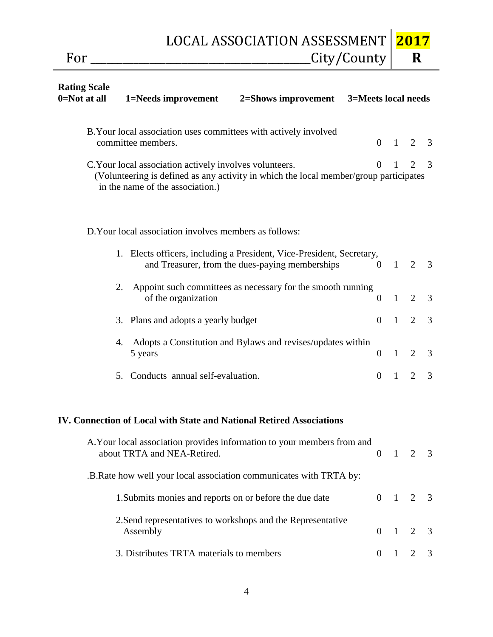$For \_\_City/Country$ 

**2017 R**

| <b>Rating Scale</b><br>$0 = Not$ at all | 1=Needs improvement                                                                         | 2=Shows improvement 3=Meets local needs                                                                                  |                |                |                |   |
|-----------------------------------------|---------------------------------------------------------------------------------------------|--------------------------------------------------------------------------------------------------------------------------|----------------|----------------|----------------|---|
|                                         | B. Your local association uses committees with actively involved<br>committee members.      |                                                                                                                          | $\overline{0}$ | $\overline{1}$ | 2              | 3 |
|                                         | C. Your local association actively involves volunteers.<br>in the name of the association.) | (Volunteering is defined as any activity in which the local member/group participates                                    | $\Omega$       | 1              | 2              | 3 |
|                                         | D. Your local association involves members as follows:                                      |                                                                                                                          |                |                |                |   |
|                                         |                                                                                             | 1. Elects officers, including a President, Vice-President, Secretary,<br>and Treasurer, from the dues-paying memberships | $\overline{0}$ | $\overline{1}$ | $\overline{2}$ | 3 |
|                                         | 2.<br>of the organization                                                                   | Appoint such committees as necessary for the smooth running                                                              | $\overline{0}$ | $\overline{1}$ | $\overline{2}$ | 3 |
|                                         | 3. Plans and adopts a yearly budget                                                         |                                                                                                                          | $\overline{0}$ | $\blacksquare$ | 2              | 3 |
|                                         | 4.<br>5 years                                                                               | Adopts a Constitution and Bylaws and revises/updates within                                                              | $\overline{0}$ | $\overline{1}$ | 2              | 3 |
|                                         | 5. Conducts annual self-evaluation.                                                         |                                                                                                                          | $\overline{0}$ | $\blacksquare$ | 2              | 3 |
|                                         |                                                                                             | IV. Connection of Local with State and National Retired Associations                                                     |                |                |                |   |
|                                         | about TRTA and NEA-Retired.                                                                 | A. Your local association provides information to your members from and                                                  | $\overline{0}$ | $\overline{1}$ | 2              | 3 |
|                                         |                                                                                             | .B.Rate how well your local association communicates with TRTA by:                                                       |                |                |                |   |
|                                         | 1. Submits monies and reports on or before the due date                                     |                                                                                                                          |                | $0 \quad 1$    | 2              | 3 |
|                                         | Assembly                                                                                    | 2. Send representatives to workshops and the Representative                                                              | $\overline{0}$ | $\mathbf{1}$   | $\overline{2}$ | 3 |
|                                         | 3. Distributes TRTA materials to members                                                    |                                                                                                                          | $\overline{0}$ | 1              | 2              | 3 |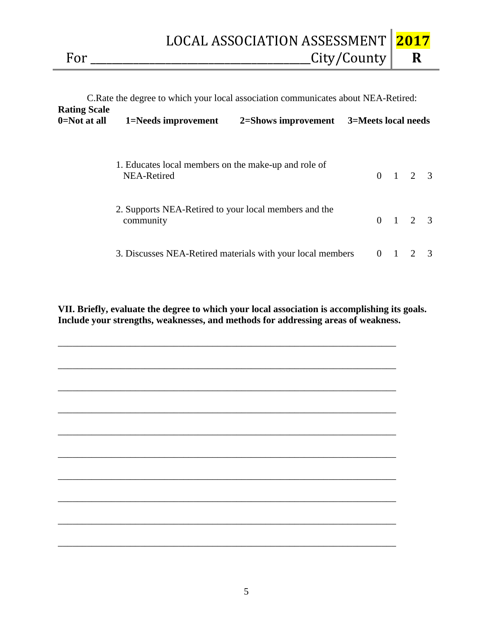LOCAL ASSOCIATION ASSESSMENT For \_\_\_\_\_\_\_\_\_\_\_\_\_\_\_\_\_\_\_\_\_\_\_\_\_\_\_\_\_\_\_\_\_\_\_\_\_\_\_\_\_City/County

|                                         | C. Rate the degree to which your local association communicates about NEA-Retired: |  |                     |             |                 |   |  |
|-----------------------------------------|------------------------------------------------------------------------------------|--|---------------------|-------------|-----------------|---|--|
| <b>Rating Scale</b><br>$0 = Not$ at all | 1=Needs improvement<br>2=Shows improvement                                         |  | 3=Meets local needs |             |                 |   |  |
|                                         | 1. Educates local members on the make-up and role of<br>NEA-Retired                |  |                     |             | $0 \t1 \t2 \t3$ |   |  |
|                                         | 2. Supports NEA-Retired to your local members and the<br>community                 |  |                     |             | $0 \t1 \t2 \t3$ |   |  |
|                                         | 3. Discusses NEA-Retired materials with your local members                         |  |                     | $0 \quad 1$ | 2               | 3 |  |

**VII. Briefly, evaluate the degree to which your local association is accomplishing its goals. Include your strengths, weaknesses, and methods for addressing areas of weakness.**